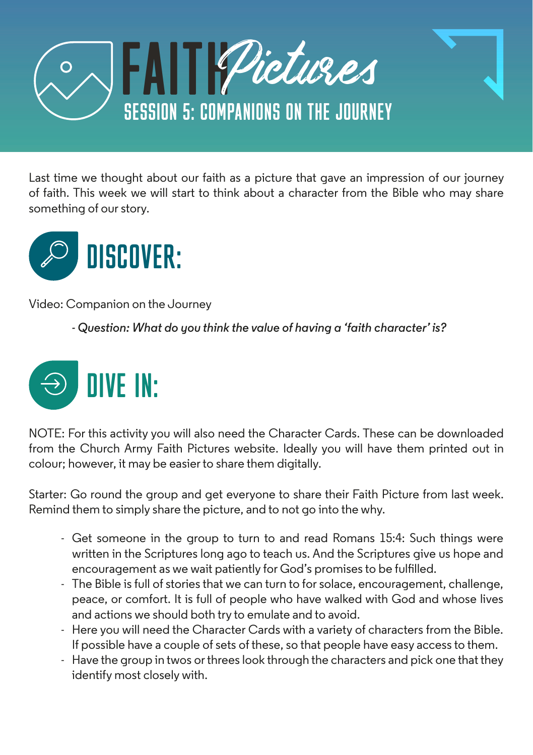

Last time we thought about our faith as a picture that gave an impression of our journey of faith. This week we will start to think about a character from the Bible who may share something of our story.



Video: Companion on the Journey

*- Question: What do you think the value of having a 'faith character' is?* 



NOTE: For this activity you will also need the Character Cards. These can be downloaded from the Church Army Faith Pictures website. Ideally you will have them printed out in colour; however, it may be easier to share them digitally.

Starter: Go round the group and get everyone to share their Faith Picture from last week. Remind them to simply share the picture, and to not go into the why.

- Get someone in the group to turn to and read Romans 15:4: Such things were written in the Scriptures long ago to teach us. And the Scriptures give us hope and encouragement as we wait patiently for God's promises to be fulfilled.
- The Bible is full of stories that we can turn to for solace, encouragement, challenge, peace, or comfort. It is full of people who have walked with God and whose lives and actions we should both try to emulate and to avoid.
- Here you will need the Character Cards with a variety of characters from the Bible. If possible have a couple of sets of these, so that people have easy access to them.
- Have the group in twos or threes look through the characters and pick one that they identify most closely with.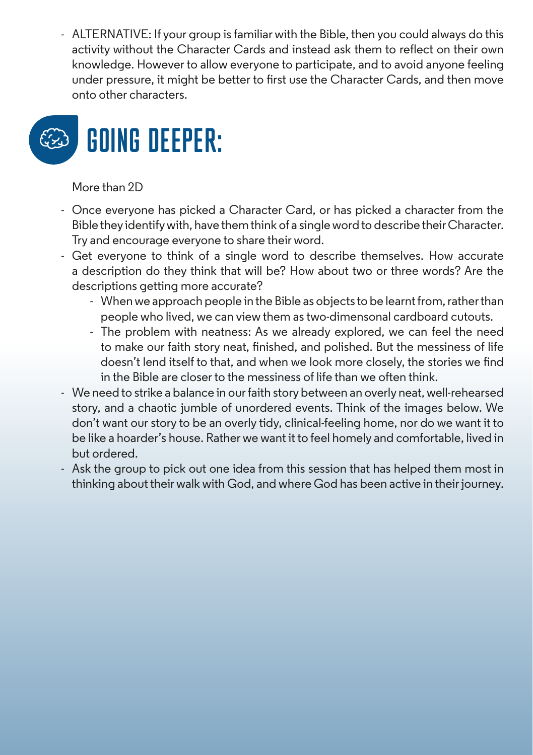- ALTERNATIVE: If your group is familiar with the Bible, then you could always do this activity without the Character Cards and instead ask them to reflect on their own knowledge. However to allow everyone to participate, and to avoid anyone feeling under pressure, it might be better to first use the Character Cards, and then move onto other characters.



#### More than 2D

- Once everyone has picked a Character Card, or has picked a character from the Bible they identify with, have them think of a single word to describe their Character. Try and encourage everyone to share their word.
- Get everyone to think of a single word to describe themselves. How accurate a description do they think that will be? How about two or three words? Are the descriptions getting more accurate?
	- When we approach people in the Bible as objects to be learnt from, rather than people who lived, we can view them as two-dimensonal cardboard cutouts.
	- The problem with neatness: As we already explored, we can feel the need to make our faith story neat, finished, and polished. But the messiness of life doesn't lend itself to that, and when we look more closely, the stories we find in the Bible are closer to the messiness of life than we often think.
- We need to strike a balance in our faith story between an overly neat, well-rehearsed story, and a chaotic jumble of unordered events. Think of the images below. We don't want our story to be an overly tidy, clinical-feeling home, nor do we want it to be like a hoarder's house. Rather we want it to feel homely and comfortable, lived in but ordered.
- Ask the group to pick out one idea from this session that has helped them most in thinking about their walk with God, and where God has been active in their journey.